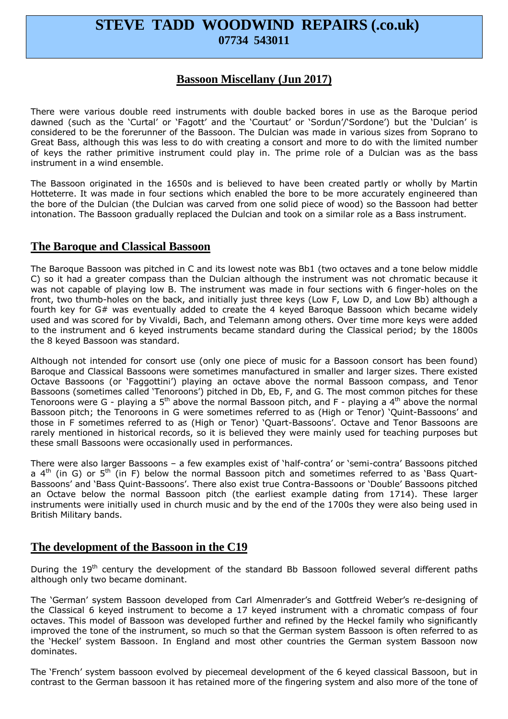# **STEVE TADD WOODWIND REPAIRS (.co.uk) 07734 543011**

# **Bassoon Miscellany (Jun 2017)**

There were various double reed instruments with double backed bores in use as the Baroque period dawned (such as the 'Curtal' or 'Fagott' and the 'Courtaut' or 'Sordun'/'Sordone') but the 'Dulcian' is considered to be the forerunner of the Bassoon. The Dulcian was made in various sizes from Soprano to Great Bass, although this was less to do with creating a consort and more to do with the limited number of keys the rather primitive instrument could play in. The prime role of a Dulcian was as the bass instrument in a wind ensemble.

The Bassoon originated in the 1650s and is believed to have been created partly or wholly by Martin Hotteterre. It was made in four sections which enabled the bore to be more accurately engineered than the bore of the Dulcian (the Dulcian was carved from one solid piece of wood) so the Bassoon had better intonation. The Bassoon gradually replaced the Dulcian and took on a similar role as a Bass instrument.

### **The Baroque and Classical Bassoon**

The Baroque Bassoon was pitched in C and its lowest note was Bb1 (two octaves and a tone below middle C) so it had a greater compass than the Dulcian although the instrument was not chromatic because it was not capable of playing low B. The instrument was made in four sections with 6 finger-holes on the front, two thumb-holes on the back, and initially just three keys (Low F, Low D, and Low Bb) although a fourth key for G# was eventually added to create the 4 keyed Baroque Bassoon which became widely used and was scored for by Vivaldi, Bach, and Telemann among others. Over time more keys were added to the instrument and 6 keyed instruments became standard during the Classical period; by the 1800s the 8 keyed Bassoon was standard.

Although not intended for consort use (only one piece of music for a Bassoon consort has been found) Baroque and Classical Bassoons were sometimes manufactured in smaller and larger sizes. There existed Octave Bassoons (or 'Faggottini') playing an octave above the normal Bassoon compass, and Tenor Bassoons (sometimes called 'Tenoroons') pitched in Db, Eb, F, and G. The most common pitches for these Tenoroons were G - playing a 5<sup>th</sup> above the normal Bassoon pitch, and F - playing a 4<sup>th</sup> above the normal Bassoon pitch; the Tenoroons in G were sometimes referred to as (High or Tenor) 'Quint-Bassoons' and those in F sometimes referred to as (High or Tenor) 'Quart-Bassoons'. Octave and Tenor Bassoons are rarely mentioned in historical records, so it is believed they were mainly used for teaching purposes but these small Bassoons were occasionally used in performances.

There were also larger Bassoons – a few examples exist of 'half-contra' or 'semi-contra' Bassoons pitched a  $4<sup>th</sup>$  (in G) or  $5<sup>th</sup>$  (in F) below the normal Bassoon pitch and sometimes referred to as 'Bass Quart-Bassoons' and 'Bass Quint-Bassoons'. There also exist true Contra-Bassoons or 'Double' Bassoons pitched an Octave below the normal Bassoon pitch (the earliest example dating from 1714). These larger instruments were initially used in church music and by the end of the 1700s they were also being used in British Military bands.

# **The development of the Bassoon in the C19**

During the 19<sup>th</sup> century the development of the standard Bb Bassoon followed several different paths although only two became dominant.

The 'German' system Bassoon developed from Carl Almenrader's and Gottfreid Weber's re-designing of the Classical 6 keyed instrument to become a 17 keyed instrument with a chromatic compass of four octaves. This model of Bassoon was developed further and refined by the Heckel family who significantly improved the tone of the instrument, so much so that the German system Bassoon is often referred to as the 'Heckel' system Bassoon. In England and most other countries the German system Bassoon now dominates.

The 'French' system bassoon evolved by piecemeal development of the 6 keyed classical Bassoon, but in contrast to the German bassoon it has retained more of the fingering system and also more of the tone of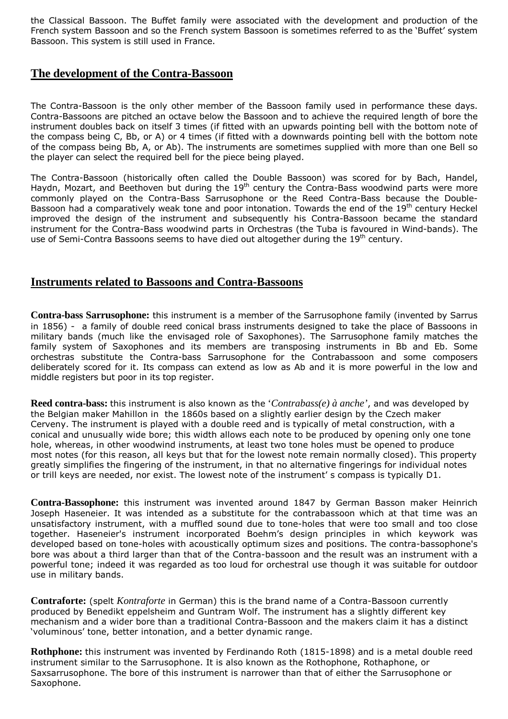the Classical Bassoon. The Buffet family were associated with the development and production of the French system Bassoon and so the French system Bassoon is sometimes referred to as the 'Buffet' system Bassoon. This system is still used in France.

# **The development of the Contra-Bassoon**

The Contra-Bassoon is the only other member of the Bassoon family used in performance these days. Contra-Bassoons are pitched an octave below the Bassoon and to achieve the required length of bore the instrument doubles back on itself 3 times (if fitted with an upwards pointing bell with the bottom note of the compass being C, Bb, or A) or 4 times (if fitted with a downwards pointing bell with the bottom note of the compass being Bb, A, or Ab). The instruments are sometimes supplied with more than one Bell so the player can select the required bell for the piece being played.

The Contra-Bassoon (historically often called the Double Bassoon) was scored for by Bach, Handel, Haydn, Mozart, and Beethoven but during the  $19<sup>th</sup>$  century the Contra-Bass woodwind parts were more commonly played on the Contra-Bass Sarrusophone or the Reed Contra-Bass because the Double-Bassoon had a comparatively weak tone and poor intonation. Towards the end of the 19<sup>th</sup> century Heckel improved the design of the instrument and subsequently his Contra-Bassoon became the standard instrument for the Contra-Bass woodwind parts in Orchestras (the Tuba is favoured in Wind-bands). The use of Semi-Contra Bassoons seems to have died out altogether during the 19<sup>th</sup> century.

# **Instruments related to Bassoons and Contra-Bassoons**

**Contra-bass Sarrusophone:** this instrument is a member of the Sarrusophone family (invented by Sarrus in 1856) - a family of double reed conical brass instruments designed to take the place of Bassoons in military bands (much like the envisaged role of Saxophones). The Sarrusophone family matches the family system of Saxophones and its members are transposing instruments in Bb and Eb. Some orchestras substitute the Contra-bass Sarrusophone for the Contrabassoon and some composers deliberately scored for it. Its compass can extend as low as Ab and it is more powerful in the low and middle registers but poor in its top register.

**Reed contra-bass:** this instrument is also known as the '*Contrabass(e) à anche'*, and was developed by the Belgian maker Mahillon in the 1860s based on a slightly earlier design by the Czech maker Cerveny. The instrument is played with a double reed and is typically of metal construction, with a conical and unusually wide bore; this width allows each note to be produced by opening only one tone hole, whereas, in other woodwind instruments, at least two tone holes must be opened to produce most notes (for this reason, all keys but that for the lowest note remain normally closed). This property greatly simplifies the fingering of the instrument, in that no alternative fingerings for individual notes or trill keys are needed, nor exist. The lowest note of the instrument' s compass is typically D1.

**Contra-Bassophone:** this instrument was invented around 1847 by German Basson maker Heinrich Joseph Haseneier. It was intended as a substitute for the contrabassoon which at that time was an unsatisfactory instrument, with a muffled sound due to tone-holes that were too small and too close together. Haseneier's instrument incorporated Boehm's design principles in which keywork was developed based on tone-holes with acoustically optimum sizes and positions. The contra-bassophone's bore was about a third larger than that of the Contra-bassoon and the result was an instrument with a powerful tone; indeed it was regarded as too loud for orchestral use though it was suitable for outdoor use in military bands.

**Contraforte:** (spelt *Kontraforte* in German) this is the brand name of a Contra-Bassoon currently produced by Benedikt eppelsheim and Guntram Wolf. The instrument has a slightly different key mechanism and a wider bore than a traditional Contra-Bassoon and the makers claim it has a distinct 'voluminous' tone, better intonation, and a better dynamic range.

**Rothphone:** this instrument was invented by Ferdinando Roth (1815-1898) and is a metal double reed instrument similar to the Sarrusophone. It is also known as the Rothophone, Rothaphone, or Saxsarrusophone. The bore of this instrument is narrower than that of either the Sarrusophone or Saxophone.